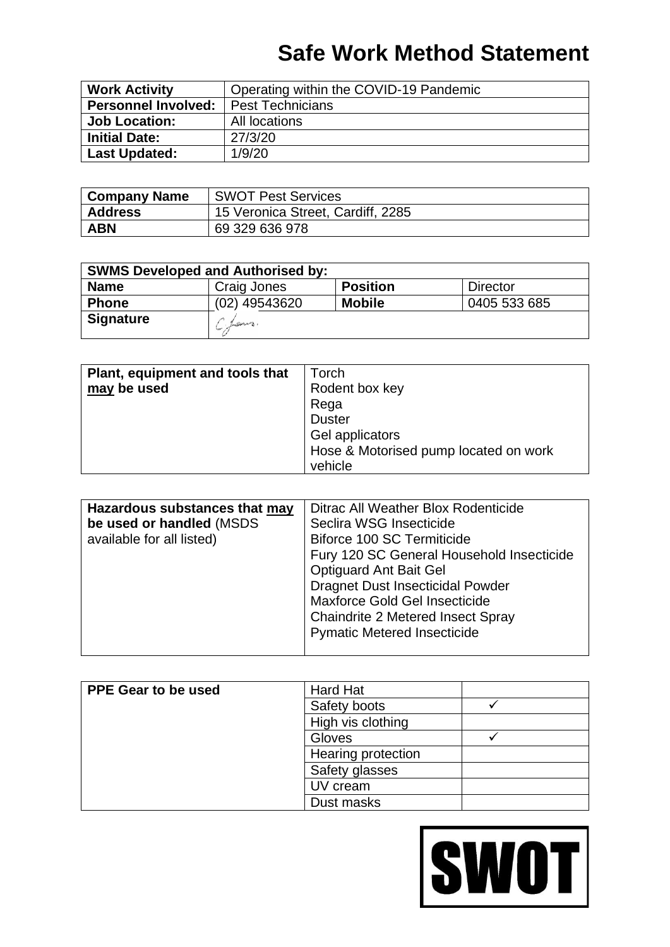| <b>Work Activity</b>       | Operating within the COVID-19 Pandemic |
|----------------------------|----------------------------------------|
| <b>Personnel Involved:</b> | <b>Pest Technicians</b>                |
| <b>Job Location:</b>       | All locations                          |
| <b>Initial Date:</b>       | 27/3/20                                |
| <b>Last Updated:</b>       | 1/9/20                                 |

| <b>Company Name</b> | <b>SWOT Pest Services</b>         |
|---------------------|-----------------------------------|
| <b>Address</b>      | 15 Veronica Street, Cardiff, 2285 |
| <b>ABN</b>          | 69 329 636 978                    |

| <b>SWMS Developed and Authorised by:</b> |                 |                 |              |  |  |  |  |  |
|------------------------------------------|-----------------|-----------------|--------------|--|--|--|--|--|
| <b>Name</b>                              | Craig Jones     | <b>Position</b> | Director     |  |  |  |  |  |
| <b>Phone</b>                             | (02) 49543620   | <b>Mobile</b>   | 0405 533 685 |  |  |  |  |  |
| <b>Signature</b>                         | the posteriors. |                 |              |  |  |  |  |  |

| Plant, equipment and tools that | Torch                                 |
|---------------------------------|---------------------------------------|
| may be used                     | Rodent box key                        |
|                                 | Rega                                  |
|                                 | <b>Duster</b>                         |
|                                 | Gel applicators                       |
|                                 | Hose & Motorised pump located on work |
|                                 | vehicle                               |

| Hazardous substances that may | Ditrac All Weather Blox Rodenticide       |
|-------------------------------|-------------------------------------------|
| be used or handled (MSDS      | Seclira WSG Insecticide                   |
| available for all listed)     | Biforce 100 SC Termiticide                |
|                               | Fury 120 SC General Household Insecticide |
|                               | <b>Optiguard Ant Bait Gel</b>             |
|                               | <b>Dragnet Dust Insecticidal Powder</b>   |
|                               | Maxforce Gold Gel Insecticide             |
|                               | <b>Chaindrite 2 Metered Insect Spray</b>  |
|                               | <b>Pymatic Metered Insecticide</b>        |
|                               |                                           |

| <b>PPE Gear to be used</b> | <b>Hard Hat</b>    |  |
|----------------------------|--------------------|--|
|                            | Safety boots       |  |
|                            | High vis clothing  |  |
|                            | Gloves             |  |
|                            | Hearing protection |  |
|                            | Safety glasses     |  |
|                            | UV cream           |  |
|                            | Dust masks         |  |

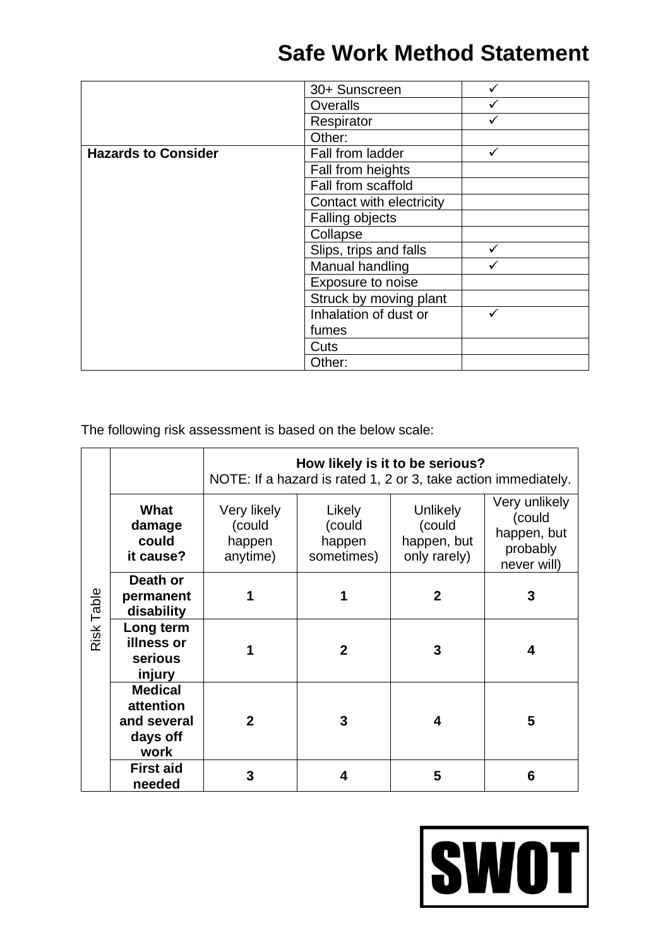|                            | 30+ Sunscreen            |   |
|----------------------------|--------------------------|---|
|                            | <b>Overalls</b>          |   |
|                            | Respirator               |   |
|                            | Other:                   |   |
| <b>Hazards to Consider</b> | Fall from ladder         | ✓ |
|                            | Fall from heights        |   |
|                            | Fall from scaffold       |   |
|                            | Contact with electricity |   |
|                            | Falling objects          |   |
|                            | Collapse                 |   |
|                            | Slips, trips and falls   |   |
|                            | Manual handling          |   |
|                            | Exposure to noise        |   |
|                            | Struck by moving plant   |   |
|                            | Inhalation of dust or    |   |
|                            | fumes                    |   |
|                            | Cuts                     |   |
|                            | Other:                   |   |

The following risk assessment is based on the below scale:

|            |                                                                | How likely is it to be serious?<br>NOTE: If a hazard is rated 1, 2 or 3, take action immediately. |                                          |                                                          |                                                                   |  |  |
|------------|----------------------------------------------------------------|---------------------------------------------------------------------------------------------------|------------------------------------------|----------------------------------------------------------|-------------------------------------------------------------------|--|--|
|            | What<br>damage<br>could<br>it cause?                           | Very likely<br>(could<br>happen<br>anytime)                                                       | Likely<br>(could<br>happen<br>sometimes) | <b>Unlikely</b><br>(could<br>happen, but<br>only rarely) | Very unlikely<br>(could<br>happen, but<br>probably<br>never will) |  |  |
| Risk Table | Death or<br>permanent<br>disability                            |                                                                                                   |                                          | $\overline{2}$                                           | 3                                                                 |  |  |
|            | Long term<br>illness or<br>serious<br>injury                   |                                                                                                   | $\mathbf{2}$                             | 3                                                        | 4                                                                 |  |  |
|            | <b>Medical</b><br>attention<br>and several<br>days off<br>work | $\overline{2}$                                                                                    | 3                                        | 4                                                        | 5                                                                 |  |  |
|            | <b>First aid</b><br>needed                                     | 3                                                                                                 | 4                                        | 5                                                        | 6                                                                 |  |  |

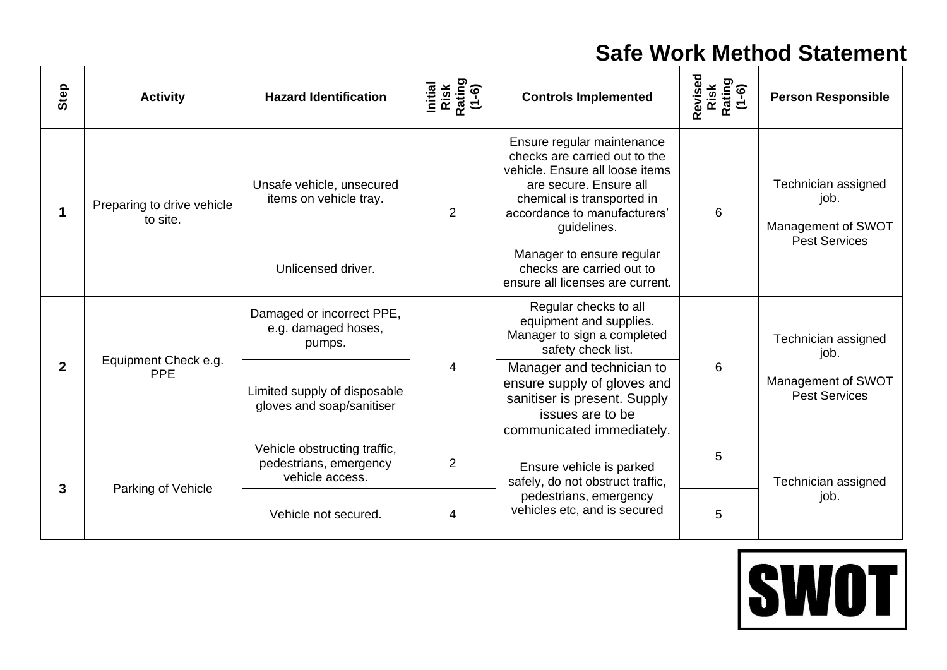| Step         | <b>Activity</b>                        | <b>Hazard Identification</b>                                              | Initial<br>Risk<br>Rating<br>(1-6) | <b>Controls Implemented</b>                                                                                                                                                                           | Revised<br>Risk<br>Rating<br>(1-6) | <b>Person Responsible</b>                                                 |
|--------------|----------------------------------------|---------------------------------------------------------------------------|------------------------------------|-------------------------------------------------------------------------------------------------------------------------------------------------------------------------------------------------------|------------------------------------|---------------------------------------------------------------------------|
|              | Preparing to drive vehicle<br>to site. | Unsafe vehicle, unsecured<br>items on vehicle tray.                       | $\overline{2}$                     | Ensure regular maintenance<br>checks are carried out to the<br>vehicle. Ensure all loose items<br>are secure. Ensure all<br>chemical is transported in<br>accordance to manufacturers'<br>guidelines. | 6                                  | Technician assigned<br>job.<br>Management of SWOT<br><b>Pest Services</b> |
|              |                                        | Unlicensed driver.                                                        |                                    | Manager to ensure regular<br>checks are carried out to<br>ensure all licenses are current.                                                                                                            |                                    |                                                                           |
| $\mathbf{2}$ | Equipment Check e.g.<br><b>PPE</b>     | Damaged or incorrect PPE,<br>e.g. damaged hoses,<br>pumps.                |                                    | Regular checks to all<br>equipment and supplies.<br>Manager to sign a completed<br>safety check list.                                                                                                 |                                    | Technician assigned<br>job.                                               |
|              |                                        | Limited supply of disposable<br>gloves and soap/sanitiser                 | 4                                  | Manager and technician to<br>ensure supply of gloves and<br>sanitiser is present. Supply<br>issues are to be<br>communicated immediately.                                                             | 6                                  | Management of SWOT<br><b>Pest Services</b>                                |
| 3            | Parking of Vehicle                     | Vehicle obstructing traffic,<br>pedestrians, emergency<br>vehicle access. | $\overline{2}$                     | Ensure vehicle is parked<br>safely, do not obstruct traffic,                                                                                                                                          | 5                                  | Technician assigned                                                       |
|              |                                        | Vehicle not secured.                                                      | 4                                  | pedestrians, emergency<br>vehicles etc, and is secured                                                                                                                                                | 5                                  | job.                                                                      |

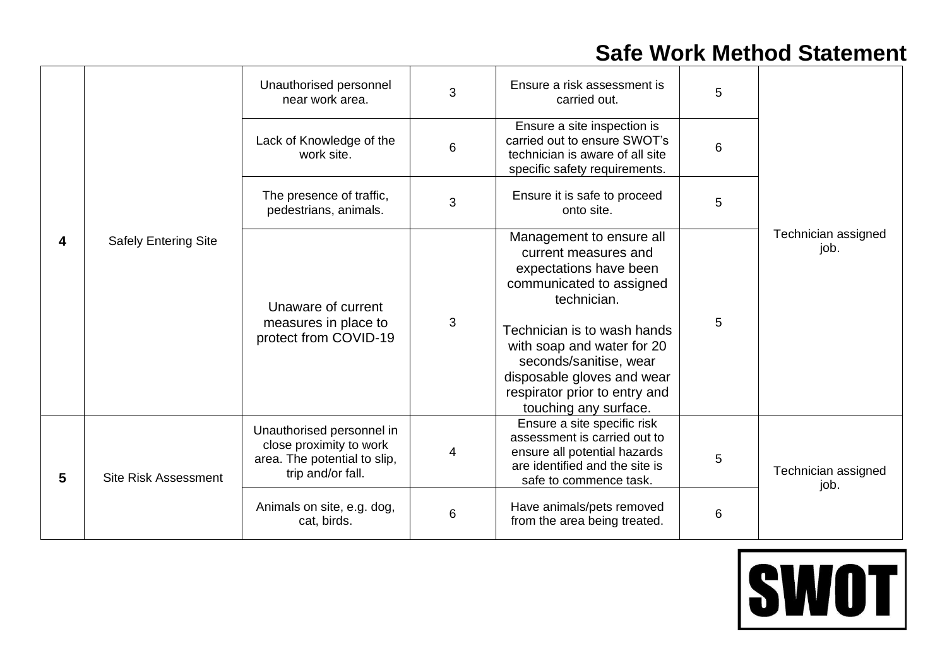|   |                             | Unauthorised personnel<br>near work area.                                                                 | 3              | Ensure a risk assessment is<br>carried out.                                                                                                                                                                                                                                                          | 5 |                             |
|---|-----------------------------|-----------------------------------------------------------------------------------------------------------|----------------|------------------------------------------------------------------------------------------------------------------------------------------------------------------------------------------------------------------------------------------------------------------------------------------------------|---|-----------------------------|
|   |                             | Lack of Knowledge of the<br>work site.                                                                    | $6\phantom{1}$ | Ensure a site inspection is<br>carried out to ensure SWOT's<br>technician is aware of all site<br>specific safety requirements.                                                                                                                                                                      | 6 |                             |
|   |                             | The presence of traffic,<br>pedestrians, animals.                                                         | 3              | Ensure it is safe to proceed<br>onto site.                                                                                                                                                                                                                                                           | 5 |                             |
| 4 | <b>Safely Entering Site</b> | Unaware of current<br>measures in place to<br>protect from COVID-19                                       | 3              | Management to ensure all<br>current measures and<br>expectations have been<br>communicated to assigned<br>technician.<br>Technician is to wash hands<br>with soap and water for 20<br>seconds/sanitise, wear<br>disposable gloves and wear<br>respirator prior to entry and<br>touching any surface. | 5 | Technician assigned<br>job. |
| 5 | <b>Site Risk Assessment</b> | Unauthorised personnel in<br>close proximity to work<br>area. The potential to slip,<br>trip and/or fall. | 4              | Ensure a site specific risk<br>assessment is carried out to<br>ensure all potential hazards<br>are identified and the site is<br>safe to commence task.                                                                                                                                              | 5 | Technician assigned<br>job. |
|   |                             | Animals on site, e.g. dog,<br>cat, birds.                                                                 | $6\phantom{1}$ | Have animals/pets removed<br>from the area being treated.                                                                                                                                                                                                                                            | 6 |                             |

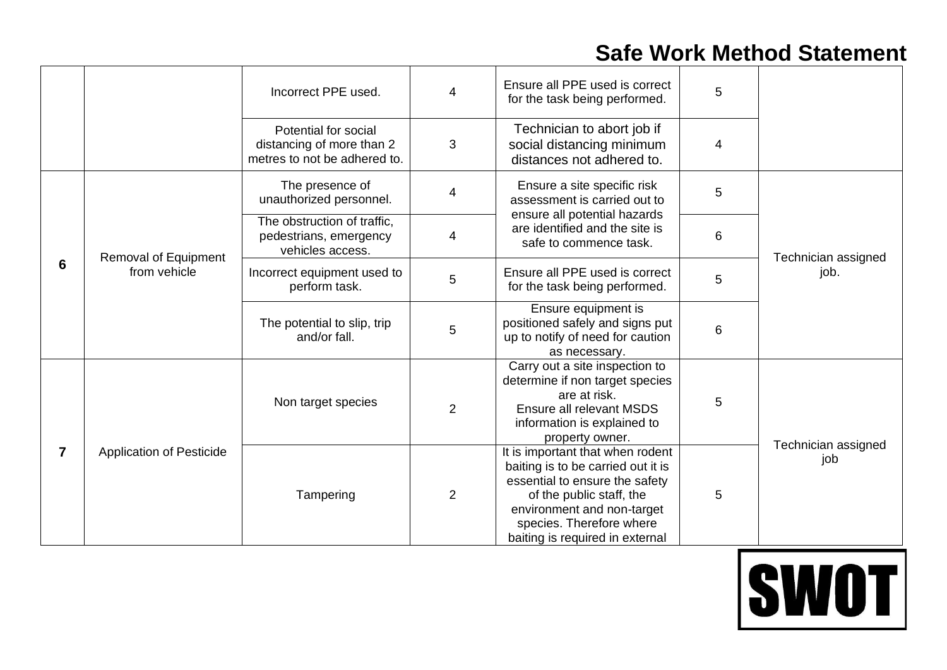|                |                                      | Incorrect PPE used.                                                               | 4 | Ensure all PPE used is correct<br>for the task being performed.                                                                                                                                                                   | 5               |                             |
|----------------|--------------------------------------|-----------------------------------------------------------------------------------|---|-----------------------------------------------------------------------------------------------------------------------------------------------------------------------------------------------------------------------------------|-----------------|-----------------------------|
|                |                                      | Potential for social<br>distancing of more than 2<br>metres to not be adhered to. | 3 | Technician to abort job if<br>social distancing minimum<br>distances not adhered to.                                                                                                                                              | 4               |                             |
|                |                                      | The presence of<br>unauthorized personnel.                                        | 4 | Ensure a site specific risk<br>assessment is carried out to                                                                                                                                                                       | 5               |                             |
|                | Removal of Equipment<br>from vehicle | The obstruction of traffic,<br>pedestrians, emergency<br>vehicles access.         | 4 | ensure all potential hazards<br>are identified and the site is<br>safe to commence task.                                                                                                                                          | 6               |                             |
| 6              |                                      | Incorrect equipment used to<br>perform task.                                      | 5 | Ensure all PPE used is correct<br>for the task being performed.                                                                                                                                                                   | 5               | Technician assigned<br>job. |
|                |                                      | The potential to slip, trip<br>and/or fall.                                       | 5 | Ensure equipment is<br>positioned safely and signs put<br>up to notify of need for caution<br>as necessary.                                                                                                                       | $6\phantom{1}6$ |                             |
|                |                                      | Non target species                                                                | 2 | Carry out a site inspection to<br>determine if non target species<br>are at risk.<br>Ensure all relevant MSDS<br>information is explained to<br>property owner.                                                                   | 5               |                             |
| $\overline{7}$ | <b>Application of Pesticide</b>      | Tampering                                                                         | 2 | It is important that when rodent<br>baiting is to be carried out it is<br>essential to ensure the safety<br>of the public staff, the<br>environment and non-target<br>species. Therefore where<br>baiting is required in external | 5               | Technician assigned<br>job  |

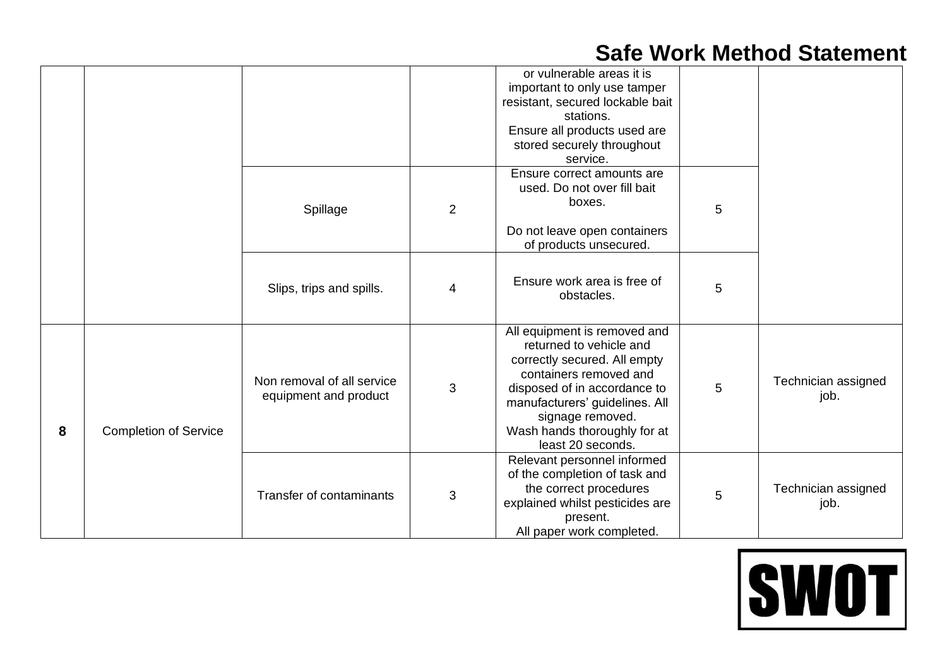|   |                              |                                                     |                | or vulnerable areas it is<br>important to only use tamper<br>resistant, secured lockable bait<br>stations.<br>Ensure all products used are<br>stored securely throughout<br>service.                                                                         |   |                             |
|---|------------------------------|-----------------------------------------------------|----------------|--------------------------------------------------------------------------------------------------------------------------------------------------------------------------------------------------------------------------------------------------------------|---|-----------------------------|
|   |                              | Spillage                                            | $\overline{2}$ | Ensure correct amounts are<br>used. Do not over fill bait<br>boxes.<br>Do not leave open containers<br>of products unsecured.                                                                                                                                | 5 |                             |
|   |                              | Slips, trips and spills.                            | 4              | Ensure work area is free of<br>obstacles.                                                                                                                                                                                                                    | 5 |                             |
| 8 | <b>Completion of Service</b> | Non removal of all service<br>equipment and product | 3              | All equipment is removed and<br>returned to vehicle and<br>correctly secured. All empty<br>containers removed and<br>disposed of in accordance to<br>manufacturers' guidelines. All<br>signage removed.<br>Wash hands thoroughly for at<br>least 20 seconds. | 5 | Technician assigned<br>job. |
|   |                              | Transfer of contaminants                            | 3              | Relevant personnel informed<br>of the completion of task and<br>the correct procedures<br>explained whilst pesticides are<br>present.<br>All paper work completed.                                                                                           | 5 | Technician assigned<br>job. |